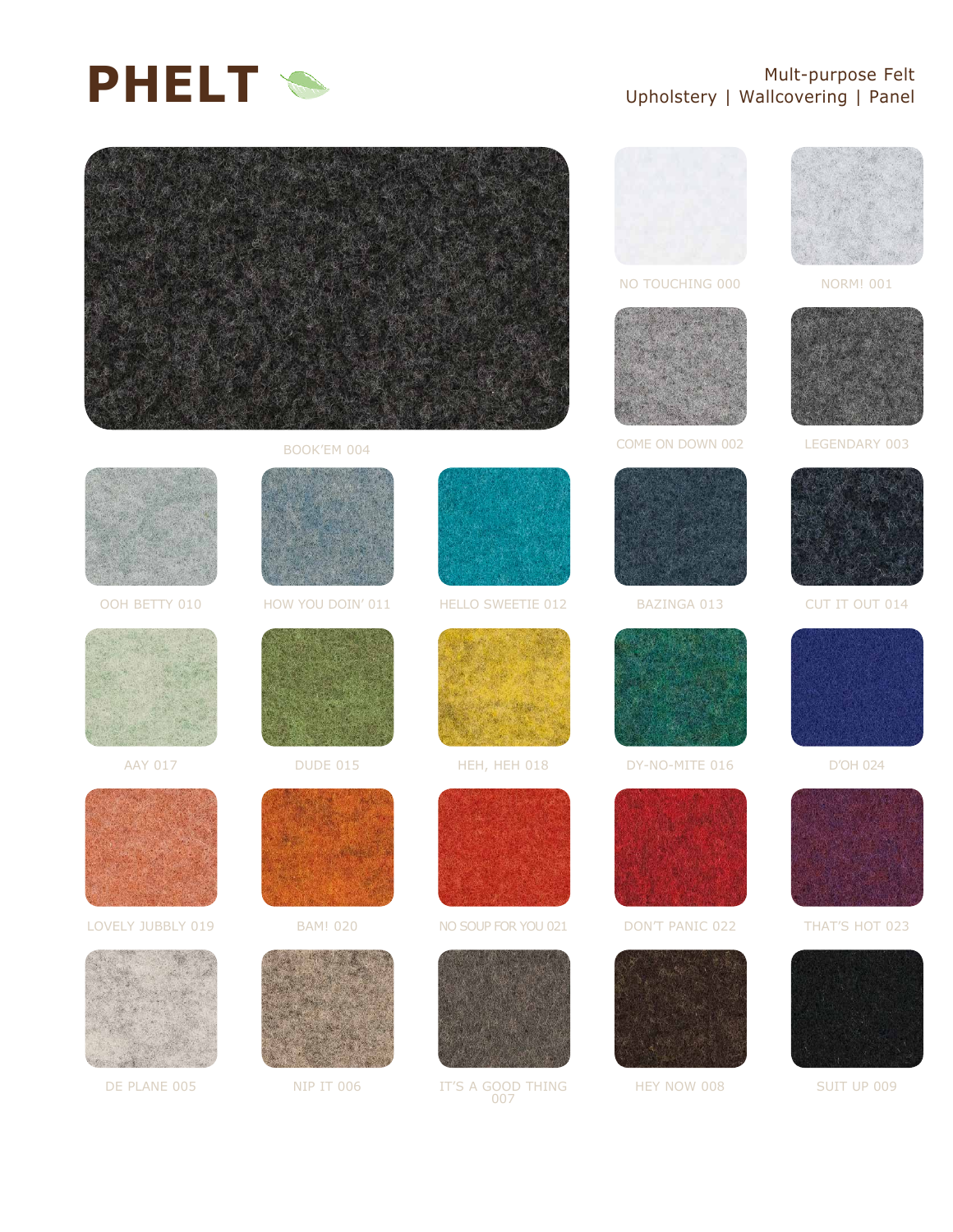

## Mult-purpose Felt Upholstery | Wallcovering | Panel